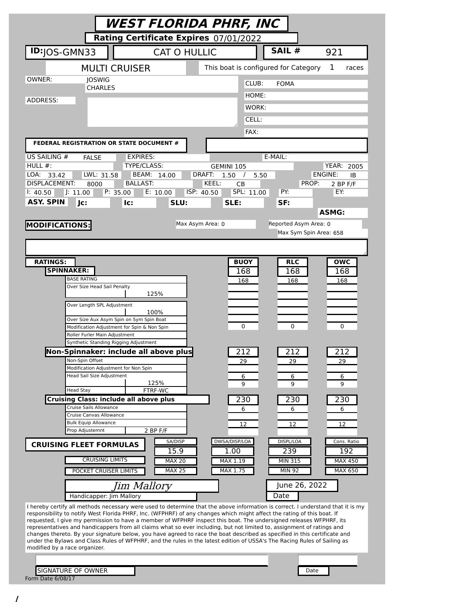| WEST FLORIDA PHRF, INC                                                                                                                                                                                                                                |                                                                                                                                 |
|-------------------------------------------------------------------------------------------------------------------------------------------------------------------------------------------------------------------------------------------------------|---------------------------------------------------------------------------------------------------------------------------------|
| Rating Certificate Expires 07/01/2022                                                                                                                                                                                                                 |                                                                                                                                 |
| <b>ID:</b> JOS-GMN33<br><b>CAT O HULLIC</b>                                                                                                                                                                                                           | SAIL #<br>921                                                                                                                   |
| <b>MULTI CRUISER</b>                                                                                                                                                                                                                                  | This boat is configured for Category<br>1<br>races                                                                              |
| OWNER:<br><b>JOSWIG</b>                                                                                                                                                                                                                               | CLUB:<br><b>FOMA</b>                                                                                                            |
| <b>CHARLES</b><br>ADDRESS:                                                                                                                                                                                                                            | HOME:                                                                                                                           |
|                                                                                                                                                                                                                                                       | WORK:                                                                                                                           |
|                                                                                                                                                                                                                                                       | CELL:                                                                                                                           |
| FEDERAL REGISTRATION OR STATE DOCUMENT #                                                                                                                                                                                                              | FAX:                                                                                                                            |
| US SAILING #<br><b>EXPIRES:</b>                                                                                                                                                                                                                       | E-MAIL:                                                                                                                         |
| <b>FALSE</b><br>HULL $#$ :<br>TYPE/CLASS:                                                                                                                                                                                                             | <b>YEAR: 2005</b><br>GEMINI 105                                                                                                 |
| LOA:<br>LWL: 31.58<br>BEAM: 14.00<br>33.42                                                                                                                                                                                                            | DRAFT:<br>ENGINE:<br>1.50<br>$\prime$<br>5.50<br>IB                                                                             |
| <b>DISPLACEMENT:</b><br><b>BALLAST:</b><br>8000                                                                                                                                                                                                       | KEEL:<br>PROP:<br>СB<br>2 BP F/F                                                                                                |
| P: 35.00<br>E: 10.00<br>J: 11.00<br>1: 40.50                                                                                                                                                                                                          | ISP: 40.50<br>SPL: 11.00<br>PY:<br>EY:                                                                                          |
| ASY. SPIN<br>Jc:<br>SLU:<br>lc:                                                                                                                                                                                                                       | SLE:<br>SF:<br><b>ASMG:</b>                                                                                                     |
|                                                                                                                                                                                                                                                       | Max Asym Area: 0<br>Reported Asym Area: 0                                                                                       |
| <b>MODIFICATIONS:</b>                                                                                                                                                                                                                                 | Max Sym Spin Area: 658                                                                                                          |
|                                                                                                                                                                                                                                                       |                                                                                                                                 |
|                                                                                                                                                                                                                                                       |                                                                                                                                 |
| <b>RATINGS:</b>                                                                                                                                                                                                                                       | <b>BUOY</b><br><b>RLC</b><br>owc                                                                                                |
| <b>SPINNAKER:</b>                                                                                                                                                                                                                                     | 168<br>168<br>168                                                                                                               |
| <b>BASE RATING</b><br>Over Size Head Sail Penalty                                                                                                                                                                                                     | 168<br>168<br>168                                                                                                               |
| 125%                                                                                                                                                                                                                                                  |                                                                                                                                 |
| Over Length SPL Adjustment                                                                                                                                                                                                                            |                                                                                                                                 |
| 100%<br>Over Size Aux Asym Spin on Sym Spin Boat                                                                                                                                                                                                      |                                                                                                                                 |
| Modification Adjustment for Spin & Non Spin                                                                                                                                                                                                           | 0<br>0<br>0                                                                                                                     |
| Roller Furler Main Adjustment<br>Synthetic Standing Rigging Adjustment                                                                                                                                                                                |                                                                                                                                 |
| Non-Spinnaker: include all above plus                                                                                                                                                                                                                 | 212<br>212<br>212                                                                                                               |
| Non-Spin Offset                                                                                                                                                                                                                                       | 29<br>29<br>29                                                                                                                  |
| Modification Adjustment for Non Spin<br><b>Head Sail Size Adjustment</b>                                                                                                                                                                              | 6<br>6<br>6                                                                                                                     |
| 125%                                                                                                                                                                                                                                                  | 9<br>9<br>9                                                                                                                     |
| FTRF-WC<br><b>Head Stay</b><br><b>Cruising Class: include all above plus</b>                                                                                                                                                                          | 230<br>230<br>230                                                                                                               |
| Cruise Sails Allowance                                                                                                                                                                                                                                | 6<br>6<br>6                                                                                                                     |
| Cruise Canvas Allowance                                                                                                                                                                                                                               |                                                                                                                                 |
| <b>Bulk Equip Allowance</b><br>Prop Adjustemnt<br>2 BP F/F                                                                                                                                                                                            | 12<br>12<br>12                                                                                                                  |
| SA/DISP<br><b>CRUISING FLEET FORMULAS</b>                                                                                                                                                                                                             | DWSA/DISP/LOA<br>DISPL/LOA<br>Cons. Ratio                                                                                       |
| 15.9<br><b>CRUISING LIMITS</b><br><b>MAX 20</b>                                                                                                                                                                                                       | 1.00<br>239<br>192<br>MAX 1.19<br><b>MIN 315</b><br>MAX 450                                                                     |
| <b>MAX 25</b><br>POCKET CRUISER LIMITS                                                                                                                                                                                                                | MAX 1.75<br><b>MIN 92</b><br>MAX 650                                                                                            |
|                                                                                                                                                                                                                                                       |                                                                                                                                 |
| Jim Mallory<br>Handicapper: Jim Mallory                                                                                                                                                                                                               | June 26, 2022<br>Date                                                                                                           |
|                                                                                                                                                                                                                                                       | I hereby certify all methods necessary were used to determine that the above information is correct. I understand that it is my |
| responsibility to notify West Florida PHRF, Inc. (WFPHRF) of any changes which might affect the rating of this boat. If<br>requested, I give my permission to have a member of WFPHRF inspect this boat. The undersigned releases WFPHRF, its         |                                                                                                                                 |
| representatives and handicappers from all claims what so ever including, but not limited to, assignment of ratings and                                                                                                                                |                                                                                                                                 |
| changes thereto. By your signature below, you have agreed to race the boat described as specified in this certificate and<br>under the Bylaws and Class Rules of WFPHRF, and the rules in the latest edition of USSA's The Racing Rules of Sailing as |                                                                                                                                 |
| modified by a race organizer.                                                                                                                                                                                                                         |                                                                                                                                 |
|                                                                                                                                                                                                                                                       |                                                                                                                                 |
| <b>SIGNATURE OF OWNER</b>                                                                                                                                                                                                                             | Date                                                                                                                            |
| Form Date 6/08/17                                                                                                                                                                                                                                     |                                                                                                                                 |

/